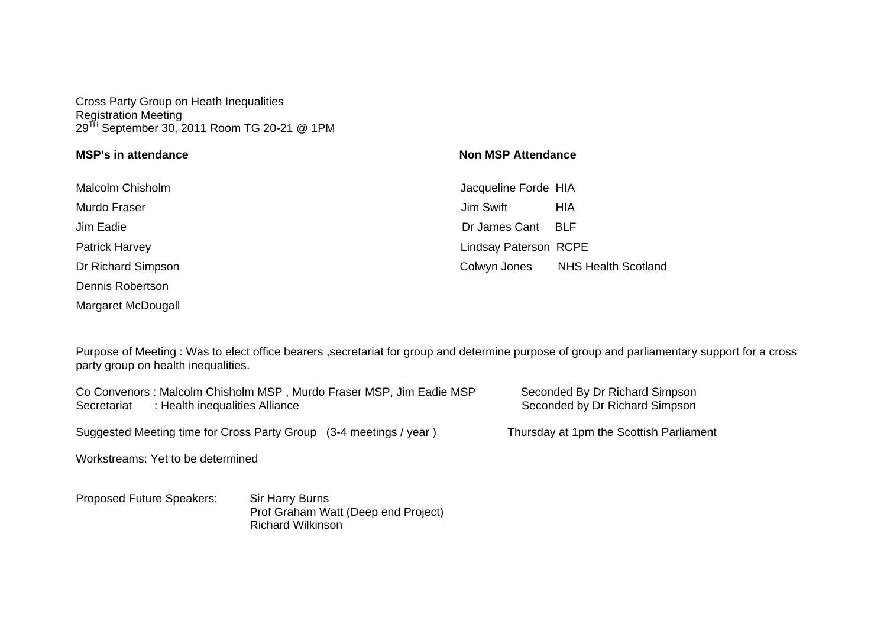Cross Party Group on Heath Inequalities Registration Meeting 29<sup>TH</sup> September 30, 2011 Room TG 20-21 @ 1PM

| <b>MSP's in attendance</b> | <b>Non MSP Attendance</b>                  |
|----------------------------|--------------------------------------------|
| <b>Malcolm Chisholm</b>    | Jacqueline Forde HIA                       |
| Murdo Fraser               | Jim Swift<br>HIA                           |
| Jim Eadie                  | Dr James Cant<br>BLF                       |
| <b>Patrick Harvey</b>      | <b>Lindsay Paterson RCPE</b>               |
| Dr Richard Simpson         | <b>NHS Health Scotland</b><br>Colwyn Jones |
| Dennis Robertson           |                                            |
| Margaret McDougall         |                                            |

Purpose of Meeting : Was to elect office bearers ,secretariat for group and determine purpose of group and parliamentary support for a cross party group on health inequalities.

Co Convenors : Malcolm Chisholm MSP, Murdo Fraser MSP, Jim Eadie MSP Seconded By Dr Richard Simpson<br>Secretariat : Health inequalities Alliance Secretariat : Health inequalities Alliance Seconded by Dr Richard Simpson

Suggested Meeting time for Cross Party Group (3-4 meetings / year ) Thursday at 1pm the Scottish Parliament

Workstreams: Yet to be determined

Proposed Future Speakers: Sir Harry Burns Prof Graham Watt (Deep end Project) Richard Wilkinson